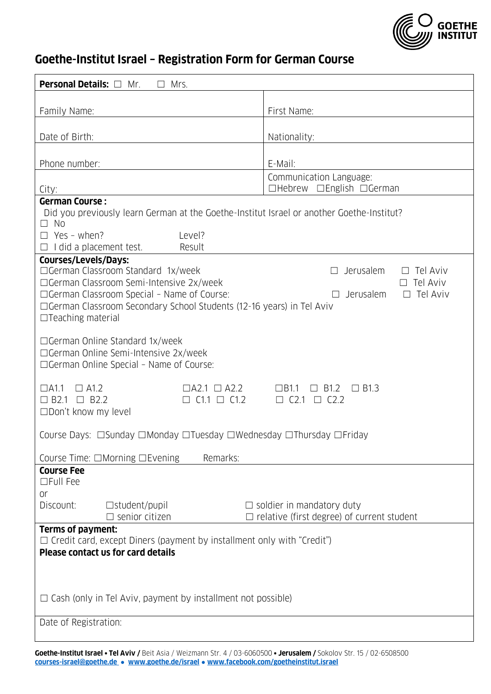

## **Goethe-Institut Israel – Registration Form for German Course**

| <b>Personal Details:</b> □<br>Mrs.<br>Mr.                                                                                                                                                                   |                                                     |
|-------------------------------------------------------------------------------------------------------------------------------------------------------------------------------------------------------------|-----------------------------------------------------|
|                                                                                                                                                                                                             |                                                     |
| Family Name:                                                                                                                                                                                                | First Name:                                         |
| Date of Birth:                                                                                                                                                                                              | Nationality:                                        |
|                                                                                                                                                                                                             |                                                     |
| Phone number:                                                                                                                                                                                               | E-Mail:                                             |
| City:                                                                                                                                                                                                       | Communication Language:<br>□Hebrew □English □German |
| <b>German Course:</b><br>Did you previously learn German at the Goethe-Institut Israel or another Goethe-Institut?<br>$\Box$ No<br>$\Box$ Yes - when?<br>Level?<br>$\Box$ I did a placement test.<br>Result |                                                     |
| <b>Courses/Levels/Days:</b>                                                                                                                                                                                 |                                                     |
| □German Classroom Standard 1x/week<br>□German Classroom Semi-Intensive 2x/week                                                                                                                              | Jerusalem<br>Tel Aviv<br>Tel Aviv                   |
| □German Classroom Special - Name of Course:<br>Tel Aviv<br>Jerusalem<br>$\perp$                                                                                                                             |                                                     |
| □ German Classroom Secondary School Students (12-16 years) in Tel Aviv<br>$\Box$ Teaching material                                                                                                          |                                                     |
| $\Box$ German Online Standard 1x/week                                                                                                                                                                       |                                                     |
| □German Online Semi-Intensive 2x/week                                                                                                                                                                       |                                                     |
| $\Box$ German Online Special - Name of Course:                                                                                                                                                              |                                                     |
| $\Box$ A2.1 $\Box$ A2.2<br>$\Box$ B1.3<br>$\Box$ A1.1<br>$\Box$ A1.2<br>$\Box$ B1.1<br>$\Box$ B1.2                                                                                                          |                                                     |
| $\Box$ B2.1 $\Box$ B2.2<br>$C1.1 \Box C1.2$<br>$\Box$ C2.1 $\Box$ C2.2<br>□Don't know my level                                                                                                              |                                                     |
|                                                                                                                                                                                                             |                                                     |
| Course Days: □Sunday □Monday □Tuesday □Wednesday □Thursday □Friday                                                                                                                                          |                                                     |
| Remarks:<br>Course Time: $\Box$ Morning $\Box$ Evening                                                                                                                                                      |                                                     |
| <b>Course Fee</b><br>□Full Fee                                                                                                                                                                              |                                                     |
| or                                                                                                                                                                                                          |                                                     |
| Discount:<br>$\Box$ student/pupil                                                                                                                                                                           | $\Box$ soldier in mandatory duty                    |
| $\Box$ senior citizen<br>$\Box$ relative (first degree) of current student<br>Terms of payment:                                                                                                             |                                                     |
| $\Box$ Credit card, except Diners (payment by installment only with "Credit")                                                                                                                               |                                                     |
| <b>Please contact us for card details</b>                                                                                                                                                                   |                                                     |
|                                                                                                                                                                                                             |                                                     |
|                                                                                                                                                                                                             |                                                     |
| $\Box$ Cash (only in Tel Aviv, payment by installment not possible)                                                                                                                                         |                                                     |
| Date of Registration:                                                                                                                                                                                       |                                                     |
|                                                                                                                                                                                                             |                                                     |